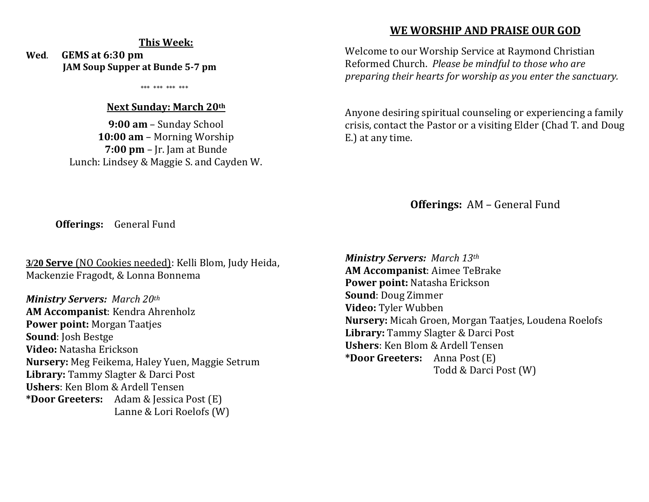#### **This Week:**

**Wed**. **GEMS at 6:30 pm JAM Soup Supper at Bunde 5-7 pm**

\*\*\* \*\*\* \*\*\* \*\*\*

#### **Next Sunday: March 20th**

**9:00 am** – Sunday School **10:00 am** – Morning Worship **7:00 pm** – Jr. Jam at Bunde Lunch: Lindsey & Maggie S. and Cayden W.

### **WE WORSHIP AND PRAISE OUR GOD**

Welcome to our Worship Service at Raymond Christian Reformed Church. *Please be mindful to those who are preparing their hearts for worship as you enter the sanctuary.*

Anyone desiring spiritual counseling or experiencing a family crisis, contact the Pastor or a visiting Elder (Chad T. and Doug E.) at any time.

**Offerings:** AM – General Fund

**Offerings:** General Fund

**3/20 Serve** (NO Cookies needed): Kelli Blom, Judy Heida, Mackenzie Fragodt, & Lonna Bonnema

*Ministry Servers: March 20th*  **AM Accompanist**: Kendra Ahrenholz **Power point:** Morgan Taatjes **Sound**: Josh Bestge **Video:** Natasha Erickson **Nursery:** Meg Feikema, Haley Yuen, Maggie Setrum **Library:** Tammy Slagter & Darci Post **Ushers**: Ken Blom & Ardell Tensen **\*Door Greeters:** Adam & Jessica Post (E) Lanne & Lori Roelofs (W)

*Ministry Servers: March 13th*  **AM Accompanist**: Aimee TeBrake **Power point:** Natasha Erickson **Sound**: Doug Zimmer **Video:** Tyler Wubben **Nursery:** Micah Groen, Morgan Taatjes, Loudena Roelofs **Library:** Tammy Slagter & Darci Post **Ushers**: Ken Blom & Ardell Tensen **\*Door Greeters:** Anna Post (E) Todd & Darci Post (W)